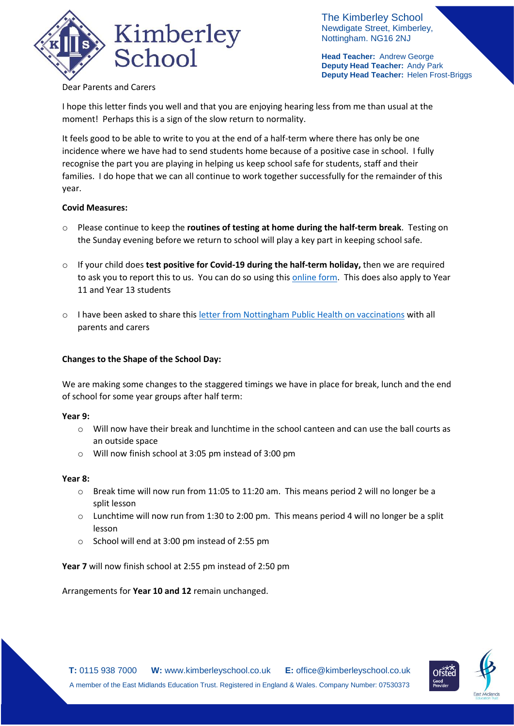

The Kimberley School Newdigate Street, Kimberley, Nottingham. NG16 2NJ

**Head Teacher:** Andrew George **Deputy Head Teacher:** Andy Park **Deputy Head Teacher:** Helen Frost-Briggs

# Dear Parents and Carers

I hope this letter finds you well and that you are enjoying hearing less from me than usual at the moment! Perhaps this is a sign of the slow return to normality.

It feels good to be able to write to you at the end of a half-term where there has only be one incidence where we have had to send students home because of a positive case in school. I fully recognise the part you are playing in helping us keep school safe for students, staff and their families. I do hope that we can all continue to work together successfully for the remainder of this year.

## **Covid Measures:**

- o Please continue to keep the **routines of testing at home during the half-term break**. Testing on the Sunday evening before we return to school will play a key part in keeping school safe.
- o If your child does **test positive for Covid-19 during the half-term holiday,** then we are required to ask you to report this to us. You can do so using thi[s online form.](https://forms.office.com/Pages/ResponsePage.aspx?id=h4JaFYDSiky-6glrnTAOBmQEdvWSEThNlRxq25LyiOZUQ1NCRExMNVpLOEFRTkRGNE1JUkdaQUxNUi4u) This does also apply to Year 11 and Year 13 students
- o I have been asked to share this [letter from Nottingham Public Health](https://676e78de-15d9-46b7-9fcd-a49f46e58722.filesusr.com/ugd/b2657a_b7aa6037620940ca8b00f88f020936fa.pdf) on vaccinations with all parents and carers

## **Changes to the Shape of the School Day:**

We are making some changes to the staggered timings we have in place for break, lunch and the end of school for some year groups after half term:

#### **Year 9:**

- $\circ$  Will now have their break and lunchtime in the school canteen and can use the ball courts as an outside space
- o Will now finish school at 3:05 pm instead of 3:00 pm

#### **Year 8:**

- $\circ$  Break time will now run from 11:05 to 11:20 am. This means period 2 will no longer be a split lesson
- o Lunchtime will now run from 1:30 to 2:00 pm. This means period 4 will no longer be a split lesson
- o School will end at 3:00 pm instead of 2:55 pm

**Year 7** will now finish school at 2:55 pm instead of 2:50 pm

Arrangements for **Year 10 and 12** remain unchanged.